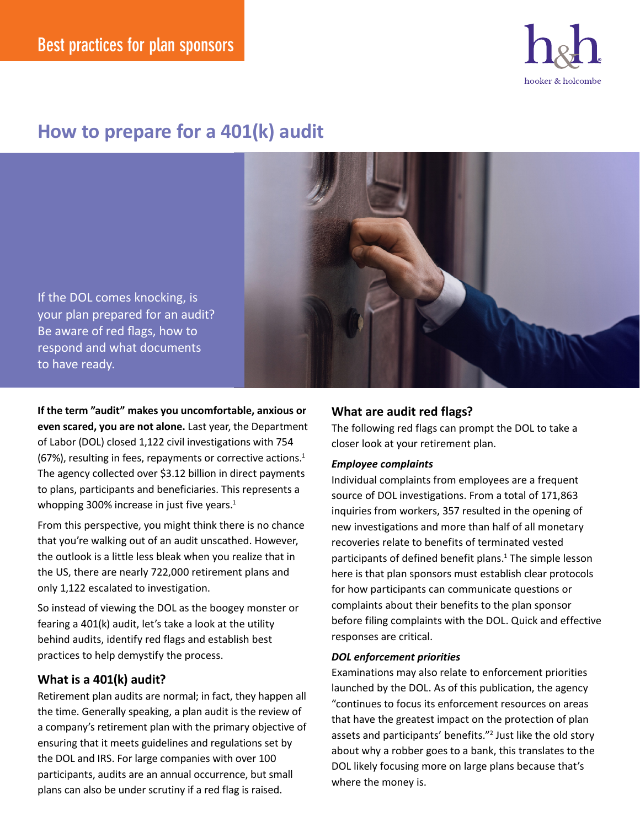

# **How to prepare for a 401(k) audit**

If the DOL comes knocking, is your plan prepared for an audit? Be aware of red flags, how to respond and what documents to have ready.

**If the term "audit" makes you uncomfortable, anxious or even scared, you are not alone.** Last year, the Department of Labor (DOL) closed 1,122 civil investigations with 754 (67%), resulting in fees, repayments or corrective actions. $1$ The agency collected over \$3.12 billion in direct payments to plans, participants and beneficiaries. This represents a whopping 300% increase in just five years.<sup>1</sup>

From this perspective, you might think there is no chance that you're walking out of an audit unscathed. However, the outlook is a little less bleak when you realize that in the US, there are nearly 722,000 retirement plans and only 1,122 escalated to investigation.

So instead of viewing the DOL as the boogey monster or fearing a 401(k) audit, let's take a look at the utility behind audits, identify red flags and establish best practices to help demystify the process.

## **What is a 401(k) audit?**

Retirement plan audits are normal; in fact, they happen all the time. Generally speaking, a plan audit is the review of a company's retirement plan with the primary objective of ensuring that it meets guidelines and regulations set by the DOL and IRS. For large companies with over 100 participants, audits are an annual occurrence, but small plans can also be under scrutiny if a red flag is raised.

# **What are audit red flags?**

The following red flags can prompt the DOL to take a closer look at your retirement plan.

## *Employee complaints*

Individual complaints from employees are a frequent source of DOL investigations. From a total of 171,863 inquiries from workers, 357 resulted in the opening of new investigations and more than half of all monetary recoveries relate to benefits of terminated vested participants of defined benefit plans.<sup>1</sup> The simple lesson here is that plan sponsors must establish clear protocols for how participants can communicate questions or complaints about their benefits to the plan sponsor before filing complaints with the DOL. Quick and effective responses are critical.

#### *DOL enforcement priorities*

Examinations may also relate to enforcement priorities launched by the DOL. As of this publication, the agency "continues to focus its enforcement resources on areas that have the greatest impact on the protection of plan assets and participants' benefits."<sup>2</sup> Just like the old story about why a robber goes to a bank, this translates to the DOL likely focusing more on large plans because that's where the money is.